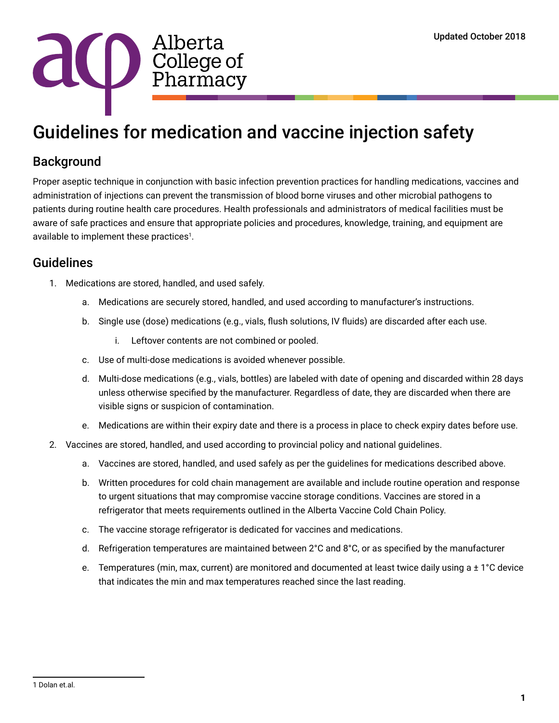

## Guidelines for medication and vaccine injection safety

## **Background**

Proper aseptic technique in conjunction with basic infection prevention practices for handling medications, vaccines and administration of injections can prevent the transmission of blood borne viruses and other microbial pathogens to patients during routine health care procedures. Health professionals and administrators of medical facilities must be aware of safe practices and ensure that appropriate policies and procedures, knowledge, training, and equipment are available to implement these practices<sup>1</sup>.

## Guidelines

- 1. Medications are stored, handled, and used safely.
	- a. Medications are securely stored, handled, and used according to manufacturer's instructions.
	- b. Single use (dose) medications (e.g., vials, flush solutions, IV fluids) are discarded after each use.
		- i. Leftover contents are not combined or pooled.
	- c. Use of multi‐dose medications is avoided whenever possible.
	- d. Multi-dose medications (e.g., vials, bottles) are labeled with date of opening and discarded within 28 days unless otherwise specified by the manufacturer. Regardless of date, they are discarded when there are visible signs or suspicion of contamination.
	- e. Medications are within their expiry date and there is a process in place to check expiry dates before use.
- 2. Vaccines are stored, handled, and used according to provincial policy and national guidelines.
	- a. Vaccines are stored, handled, and used safely as per the guidelines for medications described above.
	- b. Written procedures for cold chain management are available and include routine operation and response to urgent situations that may compromise vaccine storage conditions. Vaccines are stored in a refrigerator that meets requirements outlined in the Alberta Vaccine Cold Chain Policy.
	- c. The vaccine storage refrigerator is dedicated for vaccines and medications.
	- d. Refrigeration temperatures are maintained between 2°C and 8°C, or as specified by the manufacturer
	- e. Temperatures (min, max, current) are monitored and documented at least twice daily using a ± 1°C device that indicates the min and max temperatures reached since the last reading.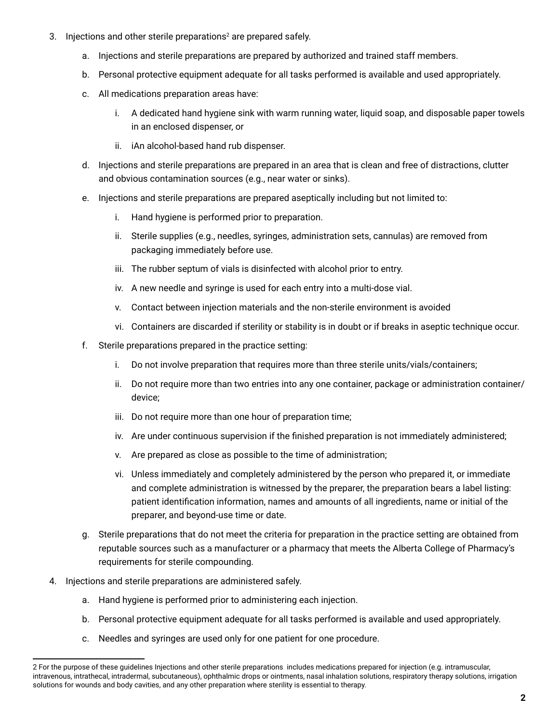- 3. Injections and other sterile preparations<sup>2</sup> are prepared safely.
	- a. Injections and sterile preparations are prepared by authorized and trained staff members.
	- b. Personal protective equipment adequate for all tasks performed is available and used appropriately.
	- c. All medications preparation areas have:
		- i. A dedicated hand hygiene sink with warm running water, liquid soap, and disposable paper towels in an enclosed dispenser, or
		- ii. iAn alcohol-based hand rub dispenser.
	- d. Injections and sterile preparations are prepared in an area that is clean and free of distractions, clutter and obvious contamination sources (e.g., near water or sinks).
	- e. Injections and sterile preparations are prepared aseptically including but not limited to:
		- i. Hand hygiene is performed prior to preparation.
		- ii. Sterile supplies (e.g., needles, syringes, administration sets, cannulas) are removed from packaging immediately before use.
		- iii. The rubber septum of vials is disinfected with alcohol prior to entry.
		- iv. A new needle and syringe is used for each entry into a multi‐dose vial.
		- v. Contact between injection materials and the non-sterile environment is avoided
		- vi. Containers are discarded if sterility or stability is in doubt or if breaks in aseptic technique occur.
	- f. Sterile preparations prepared in the practice setting:
		- i. Do not involve preparation that requires more than three sterile units/vials/containers;
		- ii. Do not require more than two entries into any one container, package or administration container/ device;
		- iii. Do not require more than one hour of preparation time;
		- iv. Are under continuous supervision if the finished preparation is not immediately administered;
		- v. Are prepared as close as possible to the time of administration;
		- vi. Unless immediately and completely administered by the person who prepared it, or immediate and complete administration is witnessed by the preparer, the preparation bears a label listing: patient identification information, names and amounts of all ingredients, name or initial of the preparer, and beyond-use time or date.
	- g. Sterile preparations that do not meet the criteria for preparation in the practice setting are obtained from reputable sources such as a manufacturer or a pharmacy that meets the Alberta College of Pharmacy's requirements for sterile compounding.
- 4. Injections and sterile preparations are administered safely.
	- a. Hand hygiene is performed prior to administering each injection.
	- b. Personal protective equipment adequate for all tasks performed is available and used appropriately.
	- c. Needles and syringes are used only for one patient for one procedure.

<sup>2</sup> For the purpose of these guidelines Injections and other sterile preparations includes medications prepared for injection (e.g. intramuscular, intravenous, intrathecal, intradermal, subcutaneous), ophthalmic drops or ointments, nasal inhalation solutions, respiratory therapy solutions, irrigation solutions for wounds and body cavities, and any other preparation where sterility is essential to therapy.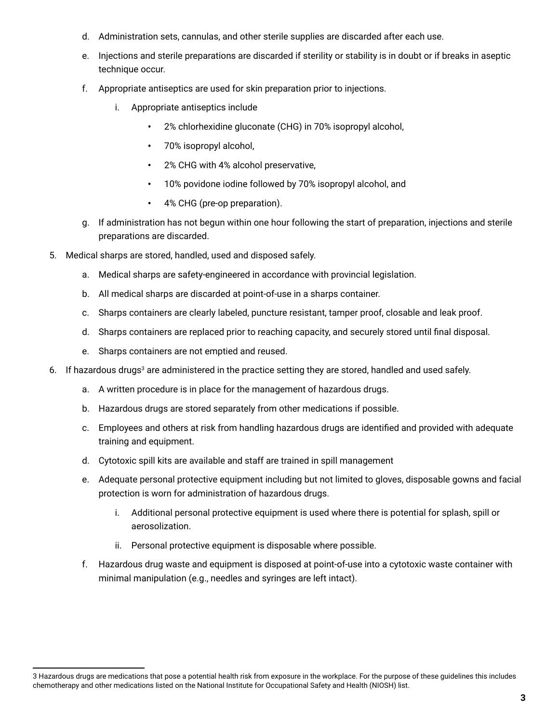- d. Administration sets, cannulas, and other sterile supplies are discarded after each use.
- e. Injections and sterile preparations are discarded if sterility or stability is in doubt or if breaks in aseptic technique occur.
- f. Appropriate antiseptics are used for skin preparation prior to injections.
	- i. Appropriate antiseptics include
		- 2% chlorhexidine gluconate (CHG) in 70% isopropyl alcohol,
		- 70% isopropyl alcohol,
		- 2% CHG with 4% alcohol preservative,
		- 10% povidone iodine followed by 70% isopropyl alcohol, and
		- 4% CHG (pre‐op preparation).
- g. If administration has not begun within one hour following the start of preparation, injections and sterile preparations are discarded.
- 5. Medical sharps are stored, handled, used and disposed safely.
	- a. Medical sharps are safety‐engineered in accordance with provincial legislation.
	- b. All medical sharps are discarded at point‐of‐use in a sharps container.
	- c. Sharps containers are clearly labeled, puncture resistant, tamper proof, closable and leak proof.
	- d. Sharps containers are replaced prior to reaching capacity, and securely stored until final disposal.
	- e. Sharps containers are not emptied and reused.
- 6. If hazardous drugs<sup>3</sup> are administered in the practice setting they are stored, handled and used safely.
	- a. A written procedure is in place for the management of hazardous drugs.
	- b. Hazardous drugs are stored separately from other medications if possible.
	- c. Employees and others at risk from handling hazardous drugs are identified and provided with adequate training and equipment.
	- d. Cytotoxic spill kits are available and staff are trained in spill management
	- e. Adequate personal protective equipment including but not limited to gloves, disposable gowns and facial protection is worn for administration of hazardous drugs.
		- i. Additional personal protective equipment is used where there is potential for splash, spill or aerosolization.
		- ii. Personal protective equipment is disposable where possible.
	- f. Hazardous drug waste and equipment is disposed at point‐of‐use into a cytotoxic waste container with minimal manipulation (e.g., needles and syringes are left intact).

<sup>3</sup> Hazardous drugs are medications that pose a potential health risk from exposure in the workplace. For the purpose of these guidelines this includes chemotherapy and other medications listed on the National Institute for Occupational Safety and Health (NIOSH) list.